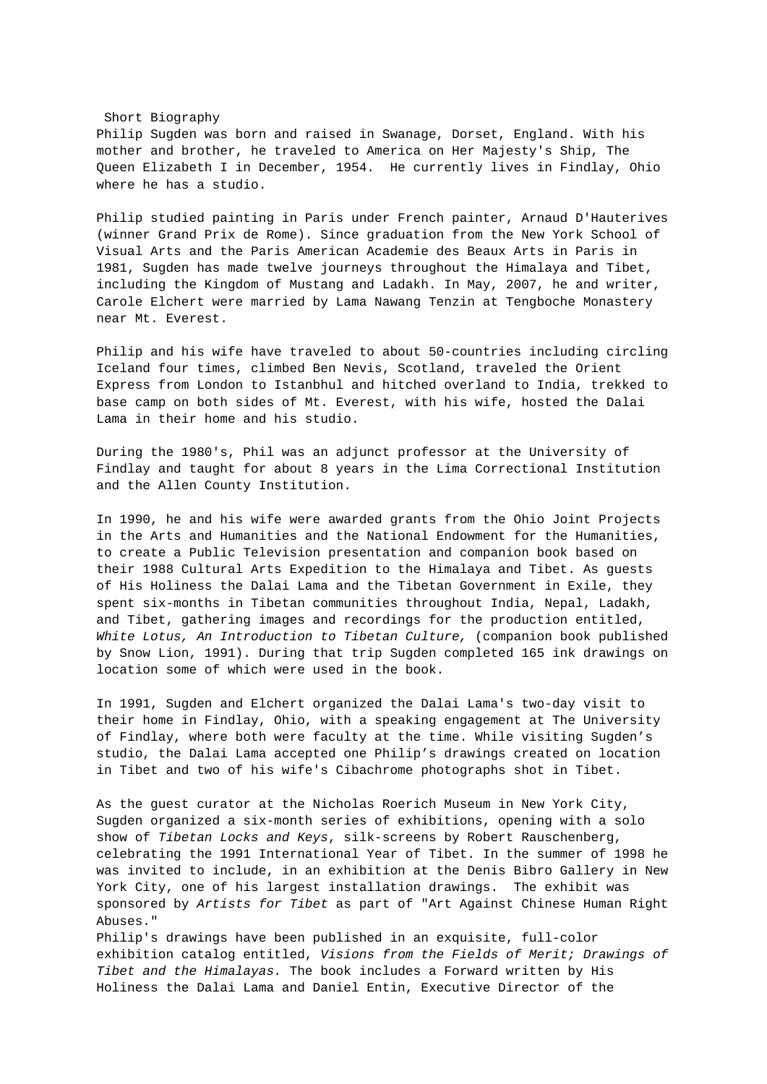Short Biography Philip Sugden was born and raised in Swanage, Dorset, England. With his mother and brother, he traveled to America on Her Majesty's Ship, The Queen Elizabeth I in December, 1954. He currently lives in Findlay, Ohio where he has a studio.

Philip studied painting in Paris under French painter, Arnaud D'Hauterives (winner Grand Prix de Rome). Since graduation from the New York School of Visual Arts and the Paris American Academie des Beaux Arts in Paris in 1981, Sugden has made twelve journeys throughout the Himalaya and Tibet, including the Kingdom of Mustang and Ladakh. In May, 2007, he and writer, Carole Elchert were married by Lama Nawang Tenzin at Tengboche Monastery near Mt. Everest.

Philip and his wife have traveled to about 50-countries including circling Iceland four times, climbed Ben Nevis, Scotland, traveled the Orient Express from London to Istanbhul and hitched overland to India, trekked to base camp on both sides of Mt. Everest, with his wife, hosted the Dalai Lama in their home and his studio.

During the 1980's, Phil was an adjunct professor at the University of Findlay and taught for about 8 years in the Lima Correctional Institution and the Allen County Institution.

In 1990, he and his wife were awarded grants from the Ohio Joint Projects in the Arts and Humanities and the National Endowment for the Humanities, to create a Public Television presentation and companion book based on their 1988 Cultural Arts Expedition to the Himalaya and Tibet. As guests of His Holiness the Dalai Lama and the Tibetan Government in Exile, they spent six-months in Tibetan communities throughout India, Nepal, Ladakh, and Tibet, gathering images and recordings for the production entitled, White Lotus, An Introduction to Tibetan Culture, (companion book published by Snow Lion, 1991). During that trip Sugden completed 165 ink drawings on location some of which were used in the book.

In 1991, Sugden and Elchert organized the Dalai Lama's two-day visit to their home in Findlay, Ohio, with a speaking engagement at The University of Findlay, where both were faculty at the time. While visiting Sugden's studio, the Dalai Lama accepted one Philip's drawings created on location in Tibet and two of his wife's Cibachrome photographs shot in Tibet.

As the guest curator at the Nicholas Roerich Museum in New York City, Sugden organized a six-month series of exhibitions, opening with a solo show of Tibetan Locks and Keys, silk-screens by Robert Rauschenberg, celebrating the 1991 International Year of Tibet. In the summer of 1998 he was invited to include, in an exhibition at the Denis Bibro Gallery in New York City, one of his largest installation drawings. The exhibit was sponsored by Artists for Tibet as part of "Art Against Chinese Human Right Abuses."

Philip's drawings have been published in an exquisite, full-color exhibition catalog entitled, Visions from the Fields of Merit; Drawings of Tibet and the Himalayas. The book includes a Forward written by His Holiness the Dalai Lama and Daniel Entin, Executive Director of the